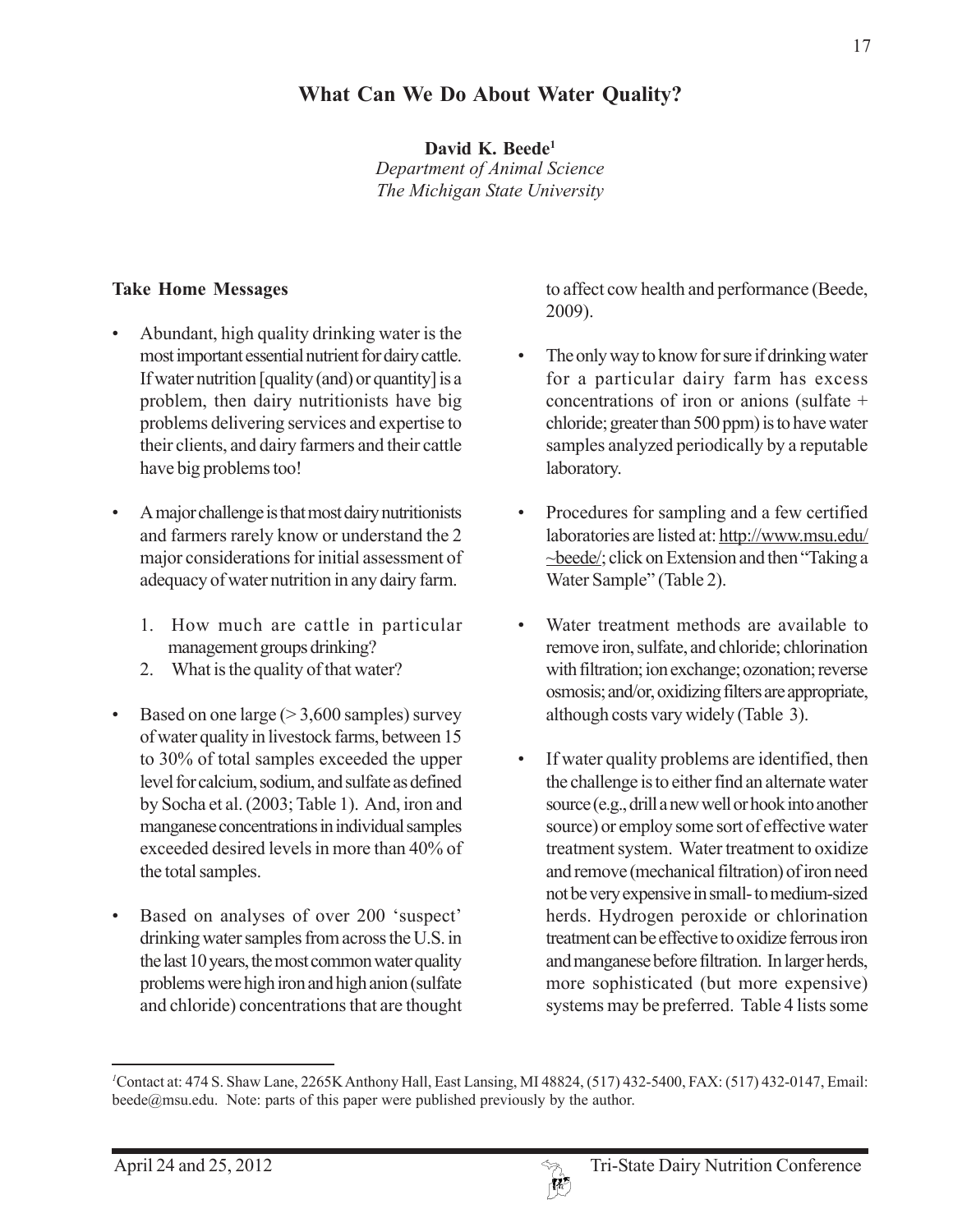## **What Can We Do About Water Quality?**

**David K. Beede1**

*Department of Animal Science The Michigan State University*

## **Take Home Messages**

- Abundant, high quality drinking water is the most important essential nutrient for dairy cattle. If water nutrition [quality (and) or quantity] is a problem, then dairy nutritionists have big problems delivering services and expertise to their clients, and dairy farmers and their cattle have big problems too!
- A major challenge is that most dairy nutritionists and farmers rarely know or understand the 2 major considerations for initial assessment of adequacy of water nutrition in any dairy farm.
	- 1. How much are cattle in particular management groups drinking?
	- 2. What is the quality of that water?
- Based on one large  $(>3,600$  samples) survey of water quality in livestock farms, between 15 to 30% of total samples exceeded the upper level for calcium, sodium, and sulfate as defined by Socha et al. (2003; Table 1). And, iron and manganese concentrations in individual samples exceeded desired levels in more than 40% of the total samples.
- Based on analyses of over 200 'suspect' drinking water samples from across the U.S. in the last 10 years, the most common water quality problems were high iron and high anion (sulfate and chloride) concentrations that are thought

to affect cow health and performance (Beede, 2009).

- The only way to know for sure if drinking water for a particular dairy farm has excess concentrations of iron or anions (sulfate + chloride; greater than 500 ppm) is to have water samples analyzed periodically by a reputable laboratory.
- Procedures for sampling and a few certified laboratories are listed at: http://www.msu.edu/ ~beede/; click on Extension and then "Taking a Water Sample" (Table 2).
- Water treatment methods are available to remove iron, sulfate, and chloride; chlorination with filtration; ion exchange; ozonation; reverse osmosis; and/or, oxidizing filters are appropriate, although costs vary widely (Table 3).
- If water quality problems are identified, then the challenge is to either find an alternate water source (e.g., drill a new well or hook into another source) or employ some sort of effective water treatment system. Water treatment to oxidize and remove (mechanical filtration) of iron need not be very expensive in small- to medium-sized herds. Hydrogen peroxide or chlorination treatment can be effective to oxidize ferrous iron and manganese before filtration. In larger herds, more sophisticated (but more expensive) systems may be preferred. Table 4 lists some

*<sup>1</sup>* Contact at: 474 S. Shaw Lane, 2265K Anthony Hall, East Lansing, MI 48824, (517) 432-5400, FAX: (517) 432-0147, Email: beede@msu.edu. Note: parts of this paper were published previously by the author.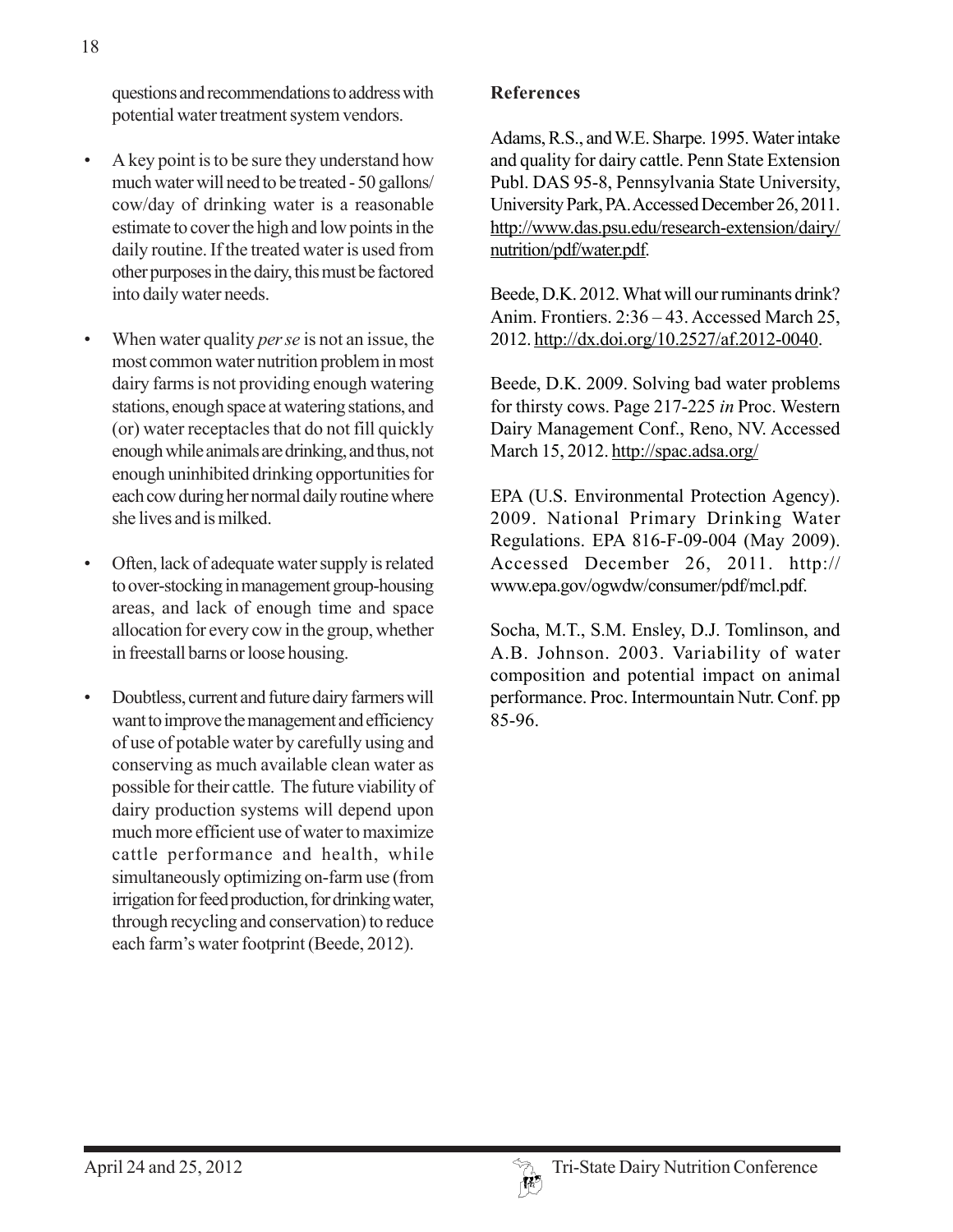questions and recommendations to address with potential water treatment system vendors.

- A key point is to be sure they understand how much water will need to be treated - 50 gallons/ cow/day of drinking water is a reasonable estimate to cover the high and low points in the daily routine. If the treated water is used from other purposes in the dairy, this must be factored into daily water needs.
- When water quality *per se* is not an issue, the most common water nutrition problem in most dairy farms is not providing enough watering stations, enough space at watering stations, and (or) water receptacles that do not fill quickly enough while animals are drinking, and thus, not enough uninhibited drinking opportunities for each cow during her normal daily routine where she lives and is milked.
- Often, lack of adequate water supply is related to over-stocking in management group-housing areas, and lack of enough time and space allocation for every cow in the group, whether in freestall barns or loose housing.
- Doubtless, current and future dairy farmers will want to improve the management and efficiency of use of potable water by carefully using and conserving as much available clean water as possible for their cattle. The future viability of dairy production systems will depend upon much more efficient use of water to maximize cattle performance and health, while simultaneously optimizing on-farm use (from irrigation for feed production, for drinking water, through recycling and conservation) to reduce each farm's water footprint (Beede, 2012).

## **References**

Adams, R.S., and W.E. Sharpe. 1995. Water intake and quality for dairy cattle. Penn State Extension Publ. DAS 95-8, Pennsylvania State University, University Park, PA. Accessed December 26, 2011. http://www.das.psu.edu/research-extension/dairy/ nutrition/pdf/water.pdf.

Beede, D.K. 2012. What will our ruminants drink? Anim. Frontiers. 2:36 – 43. Accessed March 25, 2012. http://dx.doi.org/10.2527/af.2012-0040.

Beede, D.K. 2009. Solving bad water problems for thirsty cows. Page 217-225 *in* Proc. Western Dairy Management Conf., Reno, NV. Accessed March 15, 2012. http://spac.adsa.org/

EPA (U.S. Environmental Protection Agency). 2009. National Primary Drinking Water Regulations. EPA 816-F-09-004 (May 2009). Accessed December 26, 2011. http:// www.epa.gov/ogwdw/consumer/pdf/mcl.pdf.

Socha, M.T., S.M. Ensley, D.J. Tomlinson, and A.B. Johnson. 2003. Variability of water composition and potential impact on animal performance. Proc. Intermountain Nutr. Conf. pp 85-96.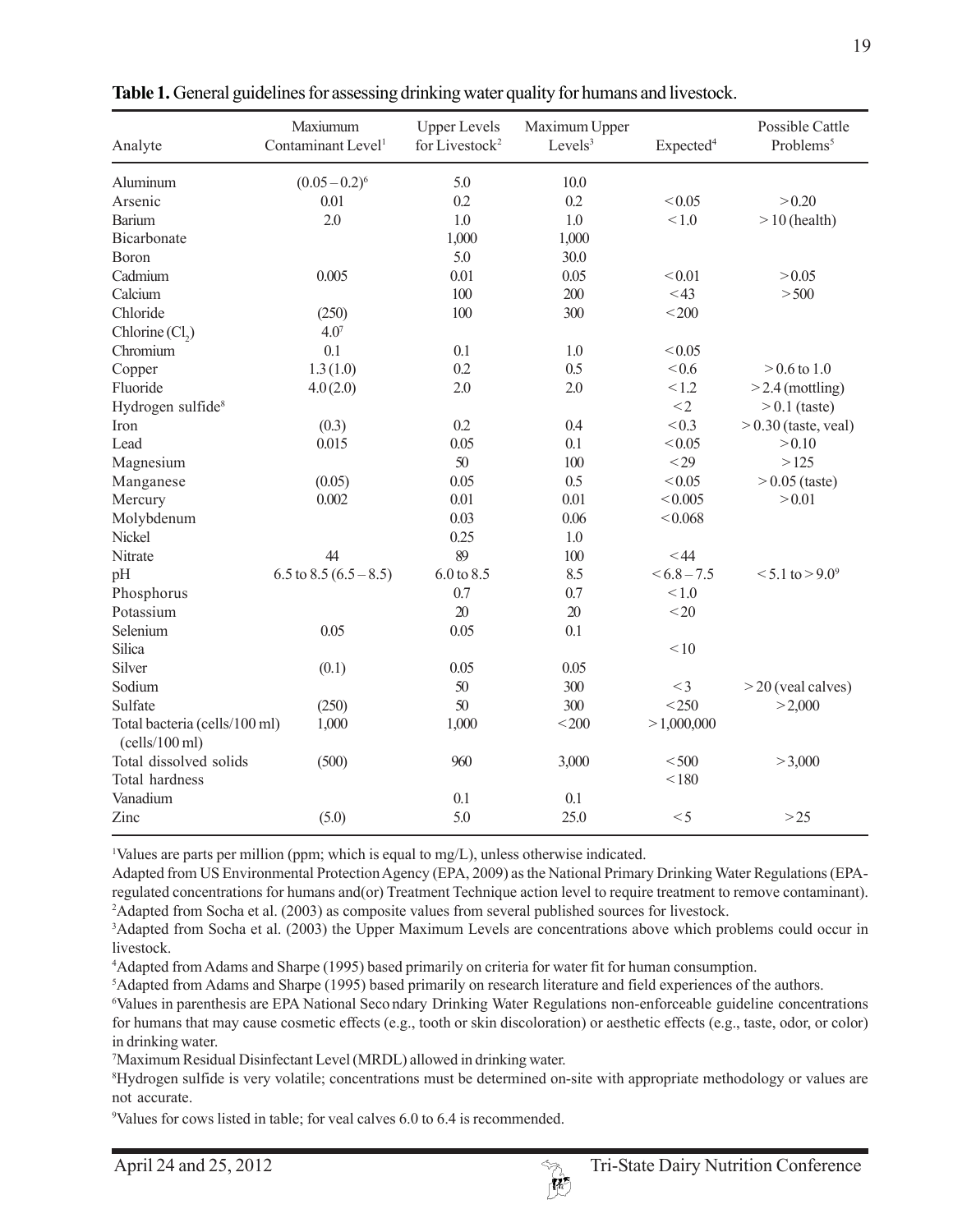| Analyte                                         | Maxiumum<br>Contaminant Level <sup>1</sup> | <b>Upper Levels</b><br>for Livestock <sup>2</sup> | Maximum Upper<br>Levels <sup>3</sup> | Expected <sup>4</sup> | Possible Cattle<br>Problems <sup>5</sup> |
|-------------------------------------------------|--------------------------------------------|---------------------------------------------------|--------------------------------------|-----------------------|------------------------------------------|
| Aluminum                                        | $(0.05-0.2)^6$                             | 5.0                                               | 10.0                                 |                       |                                          |
| Arsenic                                         | 0.01                                       | 0.2                                               | 0.2                                  | < 0.05                | > 0.20                                   |
| <b>Barium</b>                                   | 2.0                                        | 1.0                                               | 1.0                                  | < 1.0                 | $> 10$ (health)                          |
| Bicarbonate                                     |                                            | 1,000                                             | 1,000                                |                       |                                          |
| <b>Boron</b>                                    |                                            | 5.0                                               | 30.0                                 |                       |                                          |
| Cadmium                                         | 0.005                                      | 0.01                                              | 0.05                                 | < 0.01                | > 0.05                                   |
| Calcium                                         |                                            | 100                                               | 200                                  | $<$ 43                | > 500                                    |
| Chloride                                        | (250)                                      | 100                                               | 300                                  | $<$ 200               |                                          |
| Chlorine(Cl <sub>2</sub> )                      | $4.0^{7}$                                  |                                                   |                                      |                       |                                          |
| Chromium                                        | 0.1                                        | 0.1                                               | 1.0                                  | < 0.05                |                                          |
| Copper                                          | 1.3(1.0)                                   | 0.2                                               | 0.5                                  | <0.6                  | $> 0.6$ to 1.0                           |
| Fluoride                                        | 4.0(2.0)                                   | 2.0                                               | 2.0                                  | < 1.2                 | $>$ 2.4 (mottling)                       |
| Hydrogen sulfide <sup>8</sup>                   |                                            |                                                   |                                      | $<$ 2                 | $> 0.1$ (taste)                          |
| Iron                                            | (0.3)                                      | 0.2                                               | 0.4                                  | < 0.3                 | $> 0.30$ (taste, veal)                   |
| Lead                                            | 0.015                                      | 0.05                                              | 0.1                                  | < 0.05                | > 0.10                                   |
| Magnesium                                       |                                            | 50                                                | 100                                  | $<$ 29                | >125                                     |
| Manganese                                       | (0.05)                                     | 0.05                                              | 0.5                                  | < 0.05                | $> 0.05$ (taste)                         |
| Mercury                                         | 0.002                                      | 0.01                                              | 0.01                                 | < 0.005               | > 0.01                                   |
| Molybdenum                                      |                                            | 0.03                                              | 0.06                                 | < 0.068               |                                          |
| Nickel                                          |                                            | 0.25                                              | 1.0                                  |                       |                                          |
| Nitrate                                         | 44                                         | 89                                                | 100                                  | $<$ 44                |                                          |
| pH                                              | 6.5 to 8.5 $(6.5 - 8.5)$                   | 6.0 to 8.5                                        | 8.5                                  | $<6.8-7.5$            | $< 5.1$ to $> 9.0$ <sup>9</sup>          |
| Phosphorus                                      |                                            | 0.7                                               | 0.7                                  | < 1.0                 |                                          |
| Potassium                                       |                                            | 20                                                | 20                                   | $<$ 20                |                                          |
| Selenium                                        | 0.05                                       | 0.05                                              | 0.1                                  |                       |                                          |
| Silica                                          |                                            |                                                   |                                      | < 10                  |                                          |
| Silver                                          | (0.1)                                      | 0.05                                              | 0.05                                 |                       |                                          |
| Sodium                                          |                                            | 50                                                | 300                                  | $<$ 3                 | $>$ 20 (veal calves)                     |
| Sulfate                                         | (250)                                      | 50                                                | 300                                  | $<$ 250               | >2,000                                   |
| Total bacteria (cells/100 ml)<br>(cells/100 ml) | 1,000                                      | 1,000                                             | $<$ 200                              | >1,000,000            |                                          |
| Total dissolved solids                          | (500)                                      | 960                                               | 3,000                                | $<$ 500               | >3,000                                   |
| Total hardness                                  |                                            |                                                   |                                      | < 180                 |                                          |
| Vanadium                                        |                                            | 0.1                                               | 0.1                                  |                       |                                          |
| Zinc                                            | (5.0)                                      | 5.0                                               | 25.0                                 | < 5                   | $>25$                                    |

**Table 1.** General guidelines for assessing drinking water quality for humans and livestock.

1 Values are parts per million (ppm; which is equal to mg/L), unless otherwise indicated.

Adapted from US Environmental Protection Agency (EPA, 2009) as the National Primary Drinking Water Regulations (EPAregulated concentrations for humans and(or) Treatment Technique action level to require treatment to remove contaminant). 2 Adapted from Socha et al. (2003) as composite values from several published sources for livestock.

3 Adapted from Socha et al. (2003) the Upper Maximum Levels are concentrations above which problems could occur in livestock.

4 Adapted from Adams and Sharpe (1995) based primarily on criteria for water fit for human consumption.

5 Adapted from Adams and Sharpe (1995) based primarily on research literature and field experiences of the authors.

6 Values in parenthesis are EPA National Seco ndary Drinking Water Regulations non-enforceable guideline concentrations for humans that may cause cosmetic effects (e.g., tooth or skin discoloration) or aesthetic effects (e.g., taste, odor, or color) in drinking water.

7 Maximum Residual Disinfectant Level (MRDL) allowed in drinking water.

8 Hydrogen sulfide is very volatile; concentrations must be determined on-site with appropriate methodology or values are not accurate.

9 Values for cows listed in table; for veal calves 6.0 to 6.4 is recommended.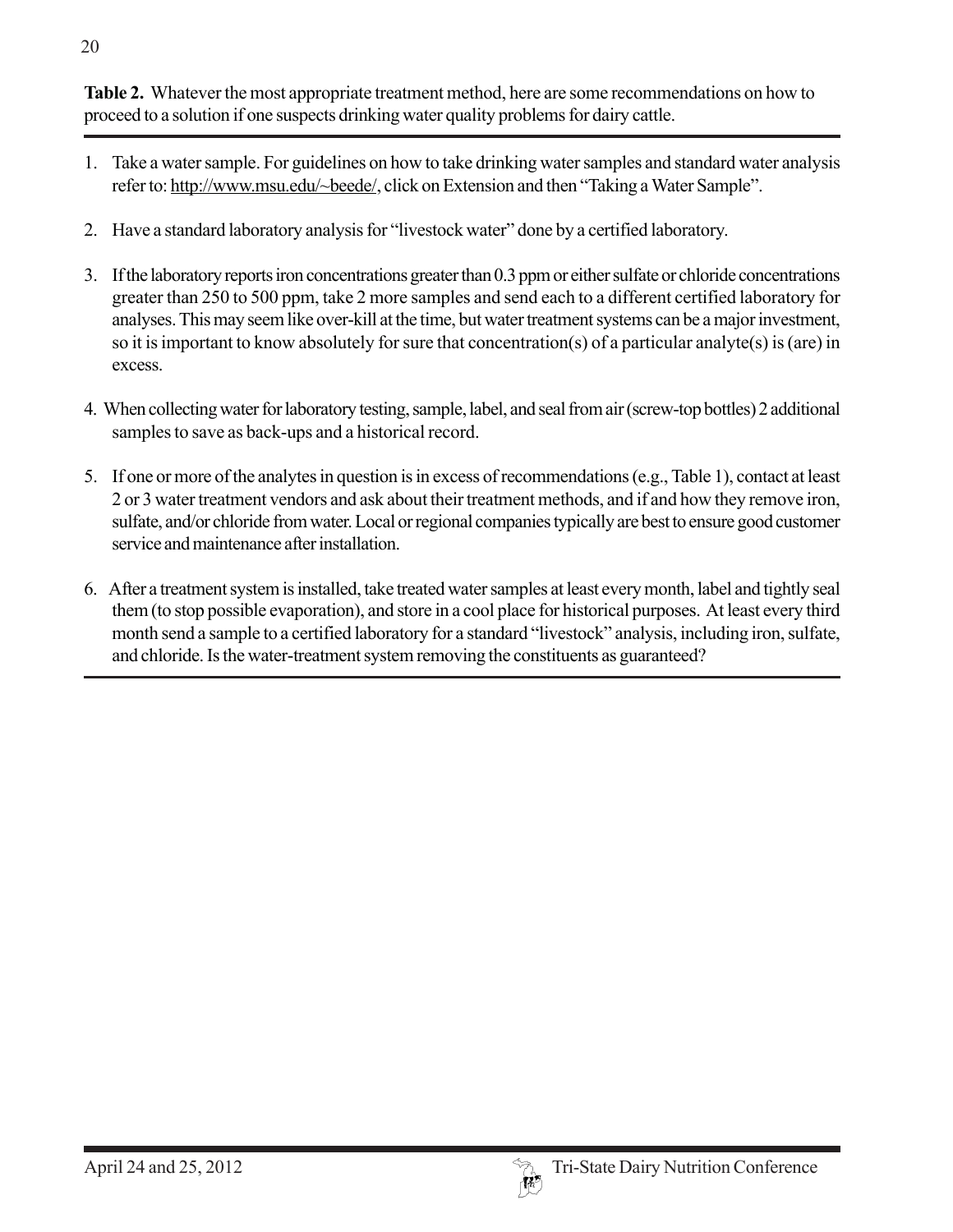**Table 2.** Whatever the most appropriate treatment method, here are some recommendations on how to proceed to a solution if one suspects drinking water quality problems for dairy cattle.

- 1. Take a water sample. For guidelines on how to take drinking water samples and standard water analysis refer to: http://www.msu.edu/~beede/, click on Extension and then "Taking a Water Sample".
- 2. Have a standard laboratory analysis for "livestock water" done by a certified laboratory.
- 3. If the laboratory reports iron concentrations greater than 0.3 ppm or either sulfate or chloride concentrations greater than 250 to 500 ppm, take 2 more samples and send each to a different certified laboratory for analyses. This may seem like over-kill at the time, but water treatment systems can be a major investment, so it is important to know absolutely for sure that concentration(s) of a particular analyte(s) is (are) in excess.
- 4. When collecting water for laboratory testing, sample, label, and seal from air (screw-top bottles) 2 additional samples to save as back-ups and a historical record.
- 5. If one or more of the analytes in question is in excess of recommendations (e.g., Table 1), contact at least 2 or 3 water treatment vendors and ask about their treatment methods, and if and how they remove iron, sulfate, and/or chloride from water. Local or regional companies typically are best to ensure good customer service and maintenance after installation.
- 6. After a treatment system is installed, take treated water samples at least every month, label and tightly seal them (to stop possible evaporation), and store in a cool place for historical purposes. At least every third month send a sample to a certified laboratory for a standard "livestock" analysis, including iron, sulfate, and chloride. Is the water-treatment system removing the constituents as guaranteed?

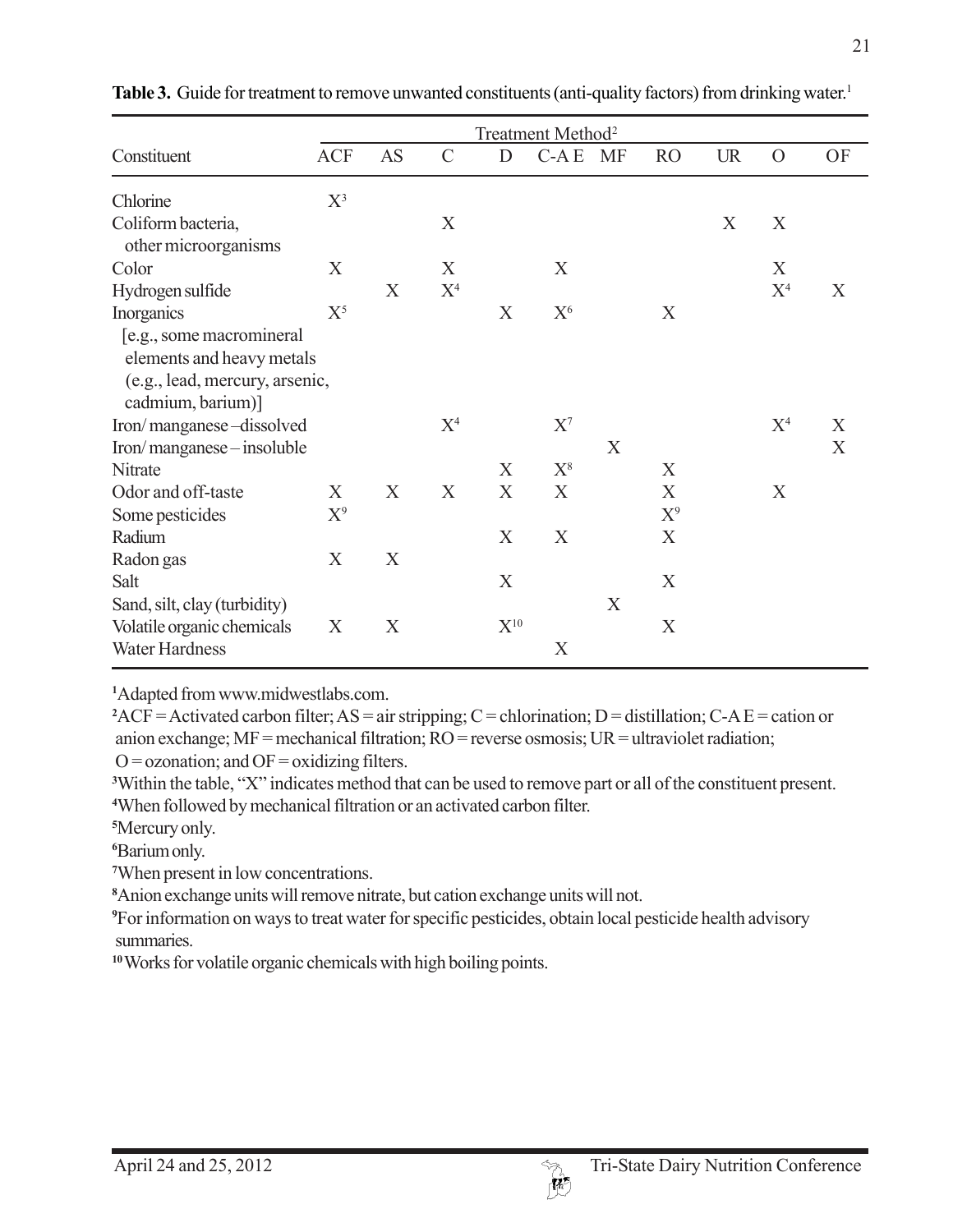|                                                                                                               | Treatment Method <sup>2</sup> |           |                |          |                |   |           |           |                |    |
|---------------------------------------------------------------------------------------------------------------|-------------------------------|-----------|----------------|----------|----------------|---|-----------|-----------|----------------|----|
| Constituent                                                                                                   | <b>ACF</b>                    | <b>AS</b> | $\mathcal{C}$  | D        | C-AE MF        |   | <b>RO</b> | <b>UR</b> | $\overline{O}$ | OF |
| Chlorine                                                                                                      | $X^3$                         |           |                |          |                |   |           |           |                |    |
| Coliform bacteria,<br>other microorganisms                                                                    |                               |           | X              |          |                |   |           | X         | X              |    |
| Color                                                                                                         | X                             |           | X              |          | X              |   |           |           | X              |    |
| Hydrogen sulfide                                                                                              |                               | X         | X <sup>4</sup> |          |                |   |           |           | X <sup>4</sup> | X  |
| Inorganics                                                                                                    | $X^5$                         |           |                | X        | X <sup>6</sup> |   | X         |           |                |    |
| [e.g., some macromineral]<br>elements and heavy metals<br>(e.g., lead, mercury, arsenic,<br>cadmium, barium)] |                               |           |                |          |                |   |           |           |                |    |
| Iron/manganese-dissolved                                                                                      |                               |           | X <sup>4</sup> |          | $X^7$          |   |           |           | X <sup>4</sup> | X  |
| Iron/manganese-insoluble                                                                                      |                               |           |                |          |                | X |           |           |                | X  |
| Nitrate                                                                                                       |                               |           |                | X        | $X^8$          |   | X         |           |                |    |
| Odor and off-taste                                                                                            | X                             | X         | X              | X        | X              |   | X         |           | X              |    |
| Some pesticides                                                                                               | $X^9$                         |           |                |          |                |   | $X^9$     |           |                |    |
| Radium                                                                                                        |                               |           |                | X        | X              |   | X         |           |                |    |
| Radon gas                                                                                                     | X                             | X         |                |          |                |   |           |           |                |    |
| Salt                                                                                                          |                               |           |                | X        |                |   | X         |           |                |    |
| Sand, silt, clay (turbidity)                                                                                  |                               |           |                |          |                | X |           |           |                |    |
| Volatile organic chemicals                                                                                    | X                             | X         |                | $X^{10}$ |                |   | X         |           |                |    |
| <b>Water Hardness</b>                                                                                         |                               |           |                |          | X              |   |           |           |                |    |

**Table 3.** Guide for treatment to remove unwanted constituents (anti-quality factors) from drinking water.<sup>1</sup>

**1** Adapted from www.midwestlabs.com.

 $2$ ACF = Activated carbon filter; AS = air stripping; C = chlorination; D = distillation; C-A E = cation or anion exchange; MF = mechanical filtration; RO = reverse osmosis; UR = ultraviolet radiation;  $O =$  ozonation; and  $OF =$  oxidizing filters.

**3** Within the table, "X" indicates method that can be used to remove part or all of the constituent present. **4** When followed by mechanical filtration or an activated carbon filter.

**5** Mercury only.

**6** Barium only.

**7** When present in low concentrations.

**8** Anion exchange units will remove nitrate, but cation exchange units will not.

**9** For information on ways to treat water for specific pesticides, obtain local pesticide health advisory summaries.

**10** Works for volatile organic chemicals with high boiling points.